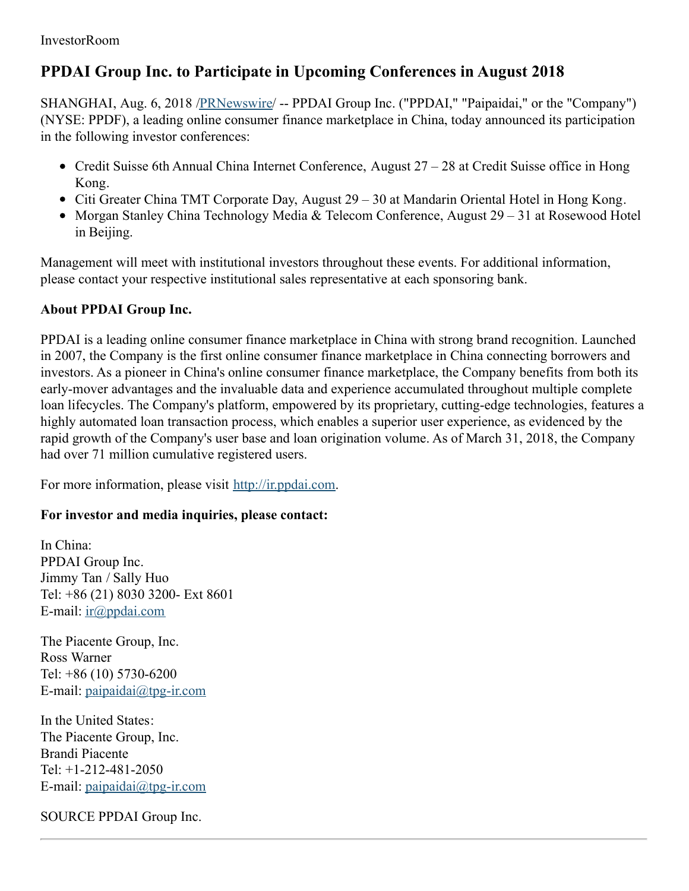## **PPDAI Group Inc. to Participate in Upcoming Conferences in August 2018**

SHANGHAI, Aug. 6, 2018 [/PRNewswire](http://www.prnewswire.com/)/ -- PPDAI Group Inc. ("PPDAI," "Paipaidai," or the "Company") (NYSE: PPDF), a leading online consumer finance marketplace in China, today announced its participation in the following investor conferences:

- Credit Suisse 6th Annual China Internet Conference, August 27 28 at Credit Suisse office in Hong Kong.
- Citi Greater China TMT Corporate Day, August 29 30 at Mandarin Oriental Hotel in Hong Kong.
- Morgan Stanley China Technology Media & Telecom Conference, August 29 31 at Rosewood Hotel in Beijing.

Management will meet with institutional investors throughout these events. For additional information, please contact your respective institutional sales representative at each sponsoring bank.

## **About PPDAI Group Inc.**

PPDAI is a leading online consumer finance marketplace in China with strong brand recognition. Launched in 2007, the Company is the first online consumer finance marketplace in China connecting borrowers and investors. As a pioneer in China's online consumer finance marketplace, the Company benefits from both its early-mover advantages and the invaluable data and experience accumulated throughout multiple complete loan lifecycles. The Company's platform, empowered by its proprietary, cutting-edge technologies, features a highly automated loan transaction process, which enables a superior user experience, as evidenced by the rapid growth of the Company's user base and loan origination volume. As of March 31, 2018, the Company had over 71 million cumulative registered users.

For more information, please visit [http://ir.ppdai.com](http://ir.ppdai.com/).

## **For investor and media inquiries, please contact:**

In China: PPDAI Group Inc. Jimmy Tan / Sally Huo Tel: +86 (21) 8030 3200- Ext 8601 E-mail: [ir@ppdai.com](mailto:ir@ppdai.com)

The Piacente Group, Inc. Ross Warner Tel: +86 (10) 5730-6200 E-mail: [paipaidai@tpg-ir.com](mailto:paipaidai@tpg-ir.com)

In the United States: The Piacente Group, Inc. Brandi Piacente Tel: +1-212-481-2050 E-mail: [paipaidai@tpg-ir.com](mailto:paipaidai@tpg-ir.com)

SOURCE PPDAI Group Inc.